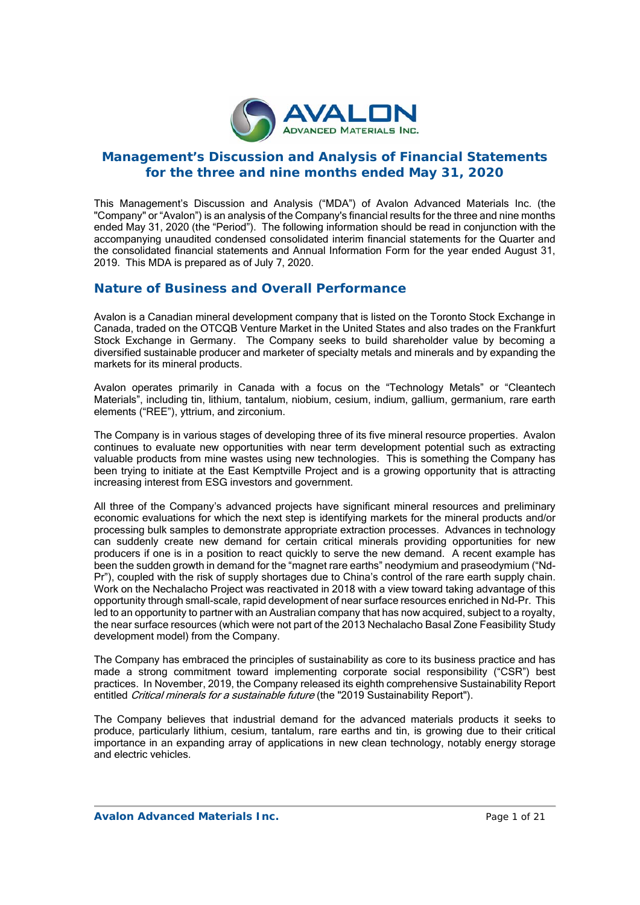

# **Management's Discussion and Analysis of Financial Statements for the three and nine months ended May 31, 2020**

This Management's Discussion and Analysis ("MDA") of Avalon Advanced Materials Inc. (the "Company" or "Avalon") is an analysis of the Company's financial results for the three and nine months ended May 31, 2020 (the "Period"). The following information should be read in conjunction with the accompanying unaudited condensed consolidated interim financial statements for the Quarter and the consolidated financial statements and Annual Information Form for the year ended August 31, 2019. This MDA is prepared as of July 7, 2020.

# **Nature of Business and Overall Performance**

Avalon is a Canadian mineral development company that is listed on the Toronto Stock Exchange in Canada, traded on the OTCQB Venture Market in the United States and also trades on the Frankfurt Stock Exchange in Germany. The Company seeks to build shareholder value by becoming a diversified sustainable producer and marketer of specialty metals and minerals and by expanding the markets for its mineral products.

Avalon operates primarily in Canada with a focus on the "Technology Metals" or "Cleantech Materials", including tin, lithium, tantalum, niobium, cesium, indium, gallium, germanium, rare earth elements ("REE"), yttrium, and zirconium.

The Company is in various stages of developing three of its five mineral resource properties. Avalon continues to evaluate new opportunities with near term development potential such as extracting valuable products from mine wastes using new technologies. This is something the Company has been trying to initiate at the East Kemptville Project and is a growing opportunity that is attracting increasing interest from ESG investors and government.

All three of the Company's advanced projects have significant mineral resources and preliminary economic evaluations for which the next step is identifying markets for the mineral products and/or processing bulk samples to demonstrate appropriate extraction processes. Advances in technology can suddenly create new demand for certain critical minerals providing opportunities for new producers if one is in a position to react quickly to serve the new demand. A recent example has been the sudden growth in demand for the "magnet rare earths" neodymium and praseodymium ("Nd-Pr"), coupled with the risk of supply shortages due to China's control of the rare earth supply chain. Work on the Nechalacho Project was reactivated in 2018 with a view toward taking advantage of this opportunity through small-scale, rapid development of near surface resources enriched in Nd-Pr. This led to an opportunity to partner with an Australian company that has now acquired, subject to a royalty, the near surface resources (which were not part of the 2013 Nechalacho Basal Zone Feasibility Study development model) from the Company.

The Company has embraced the principles of sustainability as core to its business practice and has made a strong commitment toward implementing corporate social responsibility ("CSR") best practices. In November, 2019, the Company released its eighth comprehensive Sustainability Report entitled Critical minerals for a sustainable future (the "2019 Sustainability Report").

The Company believes that industrial demand for the advanced materials products it seeks to produce, particularly lithium, cesium, tantalum, rare earths and tin, is growing due to their critical importance in an expanding array of applications in new clean technology, notably energy storage and electric vehicles.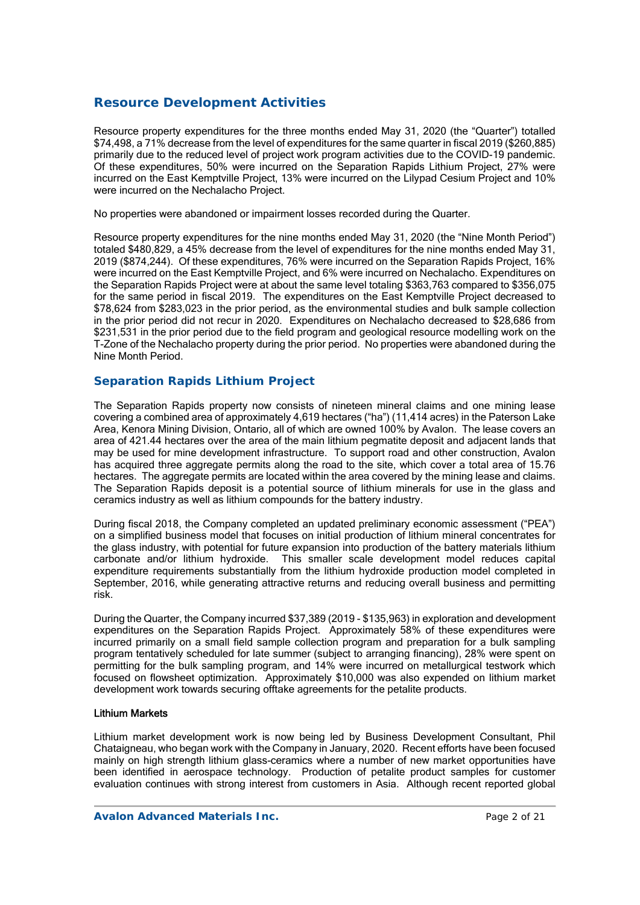# **Resource Development Activities**

Resource property expenditures for the three months ended May 31, 2020 (the "Quarter") totalled \$74,498, a 71% decrease from the level of expenditures for the same quarter in fiscal 2019 (\$260,885) primarily due to the reduced level of project work program activities due to the COVID-19 pandemic. Of these expenditures, 50% were incurred on the Separation Rapids Lithium Project, 27% were incurred on the East Kemptville Project, 13% were incurred on the Lilypad Cesium Project and 10% were incurred on the Nechalacho Project.

No properties were abandoned or impairment losses recorded during the Quarter.

Resource property expenditures for the nine months ended May 31, 2020 (the "Nine Month Period") totaled \$480,829, a 45% decrease from the level of expenditures for the nine months ended May 31, 2019 (\$874,244). Of these expenditures, 76% were incurred on the Separation Rapids Project, 16% were incurred on the East Kemptville Project, and 6% were incurred on Nechalacho. Expenditures on the Separation Rapids Project were at about the same level totaling \$363,763 compared to \$356,075 for the same period in fiscal 2019. The expenditures on the East Kemptville Project decreased to \$78,624 from \$283,023 in the prior period, as the environmental studies and bulk sample collection in the prior period did not recur in 2020. Expenditures on Nechalacho decreased to \$28,686 from \$231,531 in the prior period due to the field program and geological resource modelling work on the T-Zone of the Nechalacho property during the prior period. No properties were abandoned during the Nine Month Period.

# *Separation Rapids Lithium Project*

The Separation Rapids property now consists of nineteen mineral claims and one mining lease covering a combined area of approximately 4,619 hectares ("ha") (11,414 acres) in the Paterson Lake Area, Kenora Mining Division, Ontario, all of which are owned 100% by Avalon. The lease covers an area of 421.44 hectares over the area of the main lithium pegmatite deposit and adjacent lands that may be used for mine development infrastructure. To support road and other construction, Avalon has acquired three aggregate permits along the road to the site, which cover a total area of 15.76 hectares. The aggregate permits are located within the area covered by the mining lease and claims. The Separation Rapids deposit is a potential source of lithium minerals for use in the glass and ceramics industry as well as lithium compounds for the battery industry.

During fiscal 2018, the Company completed an updated preliminary economic assessment ("PEA") on a simplified business model that focuses on initial production of lithium mineral concentrates for the glass industry, with potential for future expansion into production of the battery materials lithium carbonate and/or lithium hydroxide. This smaller scale development model reduces capital expenditure requirements substantially from the lithium hydroxide production model completed in September, 2016, while generating attractive returns and reducing overall business and permitting risk.

During the Quarter, the Company incurred \$37,389 (2019 - \$135,963) in exploration and development expenditures on the Separation Rapids Project. Approximately 58% of these expenditures were incurred primarily on a small field sample collection program and preparation for a bulk sampling program tentatively scheduled for late summer (subject to arranging financing), 28% were spent on permitting for the bulk sampling program, and 14% were incurred on metallurgical testwork which focused on flowsheet optimization. Approximately \$10,000 was also expended on lithium market development work towards securing offtake agreements for the petalite products.

## Lithium Markets

Lithium market development work is now being led by Business Development Consultant, Phil Chataigneau, who began work with the Company in January, 2020. Recent efforts have been focused mainly on high strength lithium glass-ceramics where a number of new market opportunities have been identified in aerospace technology. Production of petalite product samples for customer evaluation continues with strong interest from customers in Asia. Although recent reported global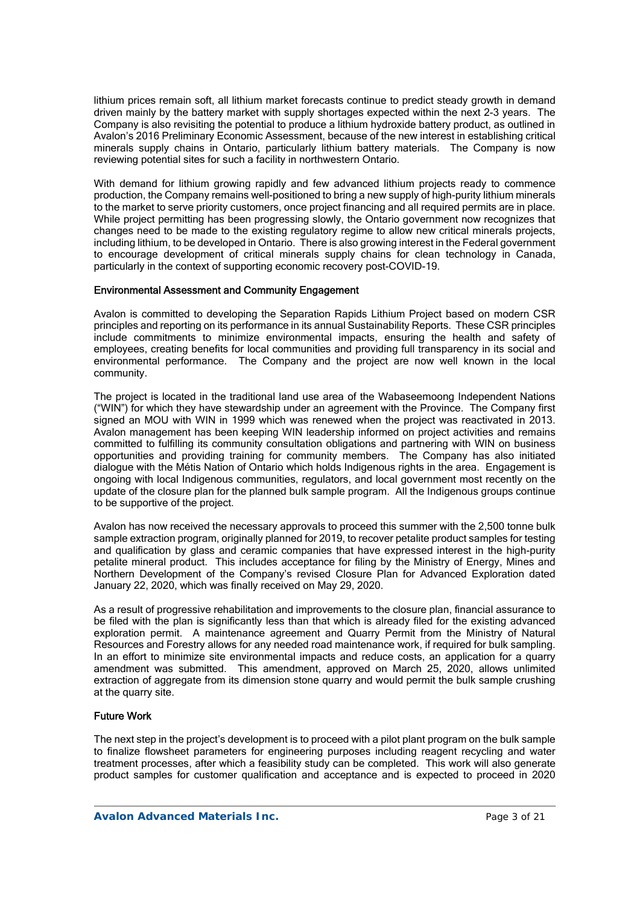lithium prices remain soft, all lithium market forecasts continue to predict steady growth in demand driven mainly by the battery market with supply shortages expected within the next 2-3 years. The Company is also revisiting the potential to produce a lithium hydroxide battery product, as outlined in Avalon's 2016 Preliminary Economic Assessment, because of the new interest in establishing critical minerals supply chains in Ontario, particularly lithium battery materials. The Company is now reviewing potential sites for such a facility in northwestern Ontario.

With demand for lithium growing rapidly and few advanced lithium projects ready to commence production, the Company remains well-positioned to bring a new supply of high-purity lithium minerals to the market to serve priority customers, once project financing and all required permits are in place. While project permitting has been progressing slowly, the Ontario government now recognizes that changes need to be made to the existing regulatory regime to allow new critical minerals projects, including lithium, to be developed in Ontario. There is also growing interest in the Federal government to encourage development of critical minerals supply chains for clean technology in Canada, particularly in the context of supporting economic recovery post-COVID-19.

## Environmental Assessment and Community Engagement

Avalon is committed to developing the Separation Rapids Lithium Project based on modern CSR principles and reporting on its performance in its annual Sustainability Reports. These CSR principles include commitments to minimize environmental impacts, ensuring the health and safety of employees, creating benefits for local communities and providing full transparency in its social and environmental performance. The Company and the project are now well known in the local community.

The project is located in the traditional land use area of the Wabaseemoong Independent Nations ("WIN") for which they have stewardship under an agreement with the Province. The Company first signed an MOU with WIN in 1999 which was renewed when the project was reactivated in 2013. Avalon management has been keeping WIN leadership informed on project activities and remains committed to fulfilling its community consultation obligations and partnering with WIN on business opportunities and providing training for community members. The Company has also initiated dialogue with the Métis Nation of Ontario which holds Indigenous rights in the area. Engagement is ongoing with local Indigenous communities, regulators, and local government most recently on the update of the closure plan for the planned bulk sample program. All the Indigenous groups continue to be supportive of the project.

Avalon has now received the necessary approvals to proceed this summer with the 2,500 tonne bulk sample extraction program, originally planned for 2019, to recover petalite product samples for testing and qualification by glass and ceramic companies that have expressed interest in the high-purity petalite mineral product. This includes acceptance for filing by the Ministry of Energy, Mines and Northern Development of the Company's revised Closure Plan for Advanced Exploration dated January 22, 2020, which was finally received on May 29, 2020.

As a result of progressive rehabilitation and improvements to the closure plan, financial assurance to be filed with the plan is significantly less than that which is already filed for the existing advanced exploration permit. A maintenance agreement and Quarry Permit from the Ministry of Natural Resources and Forestry allows for any needed road maintenance work, if required for bulk sampling. In an effort to minimize site environmental impacts and reduce costs, an application for a quarry amendment was submitted. This amendment, approved on March 25, 2020, allows unlimited extraction of aggregate from its dimension stone quarry and would permit the bulk sample crushing at the quarry site.

## Future Work

The next step in the project's development is to proceed with a pilot plant program on the bulk sample to finalize flowsheet parameters for engineering purposes including reagent recycling and water treatment processes, after which a feasibility study can be completed. This work will also generate product samples for customer qualification and acceptance and is expected to proceed in 2020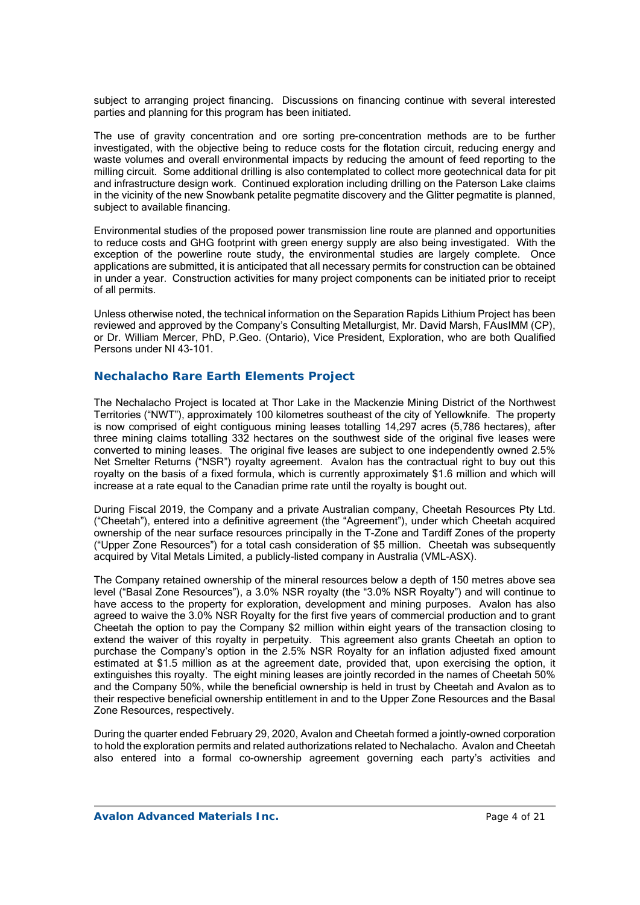subject to arranging project financing. Discussions on financing continue with several interested parties and planning for this program has been initiated.

The use of gravity concentration and ore sorting pre-concentration methods are to be further investigated, with the objective being to reduce costs for the flotation circuit, reducing energy and waste volumes and overall environmental impacts by reducing the amount of feed reporting to the milling circuit. Some additional drilling is also contemplated to collect more geotechnical data for pit and infrastructure design work. Continued exploration including drilling on the Paterson Lake claims in the vicinity of the new Snowbank petalite pegmatite discovery and the Glitter pegmatite is planned, subject to available financing.

Environmental studies of the proposed power transmission line route are planned and opportunities to reduce costs and GHG footprint with green energy supply are also being investigated. With the exception of the powerline route study, the environmental studies are largely complete. Once applications are submitted, it is anticipated that all necessary permits for construction can be obtained in under a year. Construction activities for many project components can be initiated prior to receipt of all permits.

Unless otherwise noted, the technical information on the Separation Rapids Lithium Project has been reviewed and approved by the Company's Consulting Metallurgist, Mr. David Marsh, FAusIMM (CP), or Dr. William Mercer, PhD, P.Geo. (Ontario), Vice President, Exploration, who are both Qualified Persons under NI 43-101.

# **Nechalacho Rare Earth Elements Project**

The Nechalacho Project is located at Thor Lake in the Mackenzie Mining District of the Northwest Territories ("NWT"), approximately 100 kilometres southeast of the city of Yellowknife. The property is now comprised of eight contiguous mining leases totalling 14,297 acres (5,786 hectares), after three mining claims totalling 332 hectares on the southwest side of the original five leases were converted to mining leases. The original five leases are subject to one independently owned 2.5% Net Smelter Returns ("NSR") royalty agreement. Avalon has the contractual right to buy out this royalty on the basis of a fixed formula, which is currently approximately \$1.6 million and which will increase at a rate equal to the Canadian prime rate until the royalty is bought out.

During Fiscal 2019, the Company and a private Australian company, Cheetah Resources Pty Ltd. ("Cheetah"), entered into a definitive agreement (the "Agreement"), under which Cheetah acquired ownership of the near surface resources principally in the T-Zone and Tardiff Zones of the property ("Upper Zone Resources") for a total cash consideration of \$5 million. Cheetah was subsequently acquired by Vital Metals Limited, a publicly-listed company in Australia (VML-ASX).

The Company retained ownership of the mineral resources below a depth of 150 metres above sea level ("Basal Zone Resources"), a 3.0% NSR royalty (the "3.0% NSR Royalty") and will continue to have access to the property for exploration, development and mining purposes. Avalon has also agreed to waive the 3.0% NSR Royalty for the first five years of commercial production and to grant Cheetah the option to pay the Company \$2 million within eight years of the transaction closing to extend the waiver of this royalty in perpetuity. This agreement also grants Cheetah an option to purchase the Company's option in the 2.5% NSR Royalty for an inflation adjusted fixed amount estimated at \$1.5 million as at the agreement date, provided that, upon exercising the option, it extinguishes this royalty. The eight mining leases are jointly recorded in the names of Cheetah 50% and the Company 50%, while the beneficial ownership is held in trust by Cheetah and Avalon as to their respective beneficial ownership entitlement in and to the Upper Zone Resources and the Basal Zone Resources, respectively.

During the quarter ended February 29, 2020, Avalon and Cheetah formed a jointly-owned corporation to hold the exploration permits and related authorizations related to Nechalacho. Avalon and Cheetah also entered into a formal co-ownership agreement governing each party's activities and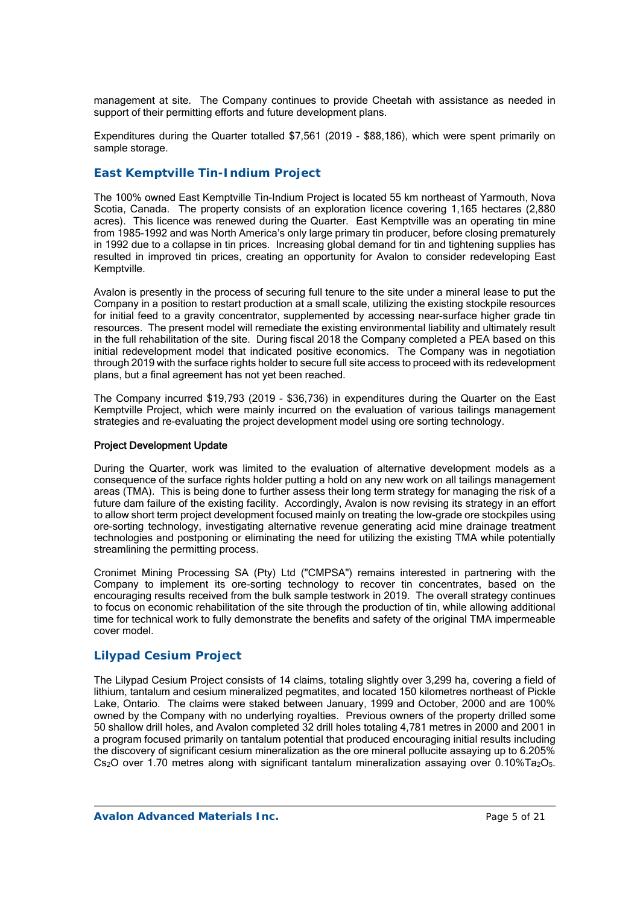management at site. The Company continues to provide Cheetah with assistance as needed in support of their permitting efforts and future development plans.

Expenditures during the Quarter totalled \$7,561 (2019 - \$88,186), which were spent primarily on sample storage.

# *East Kemptville Tin-Indium Project*

The 100% owned East Kemptville Tin-Indium Project is located 55 km northeast of Yarmouth, Nova Scotia, Canada. The property consists of an exploration licence covering 1,165 hectares (2,880 acres). This licence was renewed during the Quarter. East Kemptville was an operating tin mine from 1985-1992 and was North America's only large primary tin producer, before closing prematurely in 1992 due to a collapse in tin prices. Increasing global demand for tin and tightening supplies has resulted in improved tin prices, creating an opportunity for Avalon to consider redeveloping East Kemptville.

Avalon is presently in the process of securing full tenure to the site under a mineral lease to put the Company in a position to restart production at a small scale, utilizing the existing stockpile resources for initial feed to a gravity concentrator, supplemented by accessing near-surface higher grade tin resources. The present model will remediate the existing environmental liability and ultimately result in the full rehabilitation of the site. During fiscal 2018 the Company completed a PEA based on this initial redevelopment model that indicated positive economics. The Company was in negotiation through 2019 with the surface rights holder to secure full site access to proceed with its redevelopment plans, but a final agreement has not yet been reached.

The Company incurred \$19,793 (2019 - \$36,736) in expenditures during the Quarter on the East Kemptville Project, which were mainly incurred on the evaluation of various tailings management strategies and re-evaluating the project development model using ore sorting technology.

## Project Development Update

During the Quarter, work was limited to the evaluation of alternative development models as a consequence of the surface rights holder putting a hold on any new work on all tailings management areas (TMA). This is being done to further assess their long term strategy for managing the risk of a future dam failure of the existing facility. Accordingly, Avalon is now revising its strategy in an effort to allow short term project development focused mainly on treating the low-grade ore stockpiles using ore-sorting technology, investigating alternative revenue generating acid mine drainage treatment technologies and postponing or eliminating the need for utilizing the existing TMA while potentially streamlining the permitting process.

Cronimet Mining Processing SA (Pty) Ltd ("CMPSA") remains interested in partnering with the Company to implement its ore-sorting technology to recover tin concentrates, based on the encouraging results received from the bulk sample testwork in 2019. The overall strategy continues to focus on economic rehabilitation of the site through the production of tin, while allowing additional time for technical work to fully demonstrate the benefits and safety of the original TMA impermeable cover model.

# *Lilypad Cesium Project*

The Lilypad Cesium Project consists of 14 claims, totaling slightly over 3,299 ha, covering a field of lithium, tantalum and cesium mineralized pegmatites, and located 150 kilometres northeast of Pickle Lake, Ontario. The claims were staked between January, 1999 and October, 2000 and are 100% owned by the Company with no underlying royalties. Previous owners of the property drilled some 50 shallow drill holes, and Avalon completed 32 drill holes totaling 4,781 metres in 2000 and 2001 in a program focused primarily on tantalum potential that produced encouraging initial results including the discovery of significant cesium mineralization as the ore mineral pollucite assaying up to 6.205% Cs<sub>2</sub>O over 1.70 metres along with significant tantalum mineralization assaying over 0.10%Ta<sub>2</sub>O<sub>5</sub>.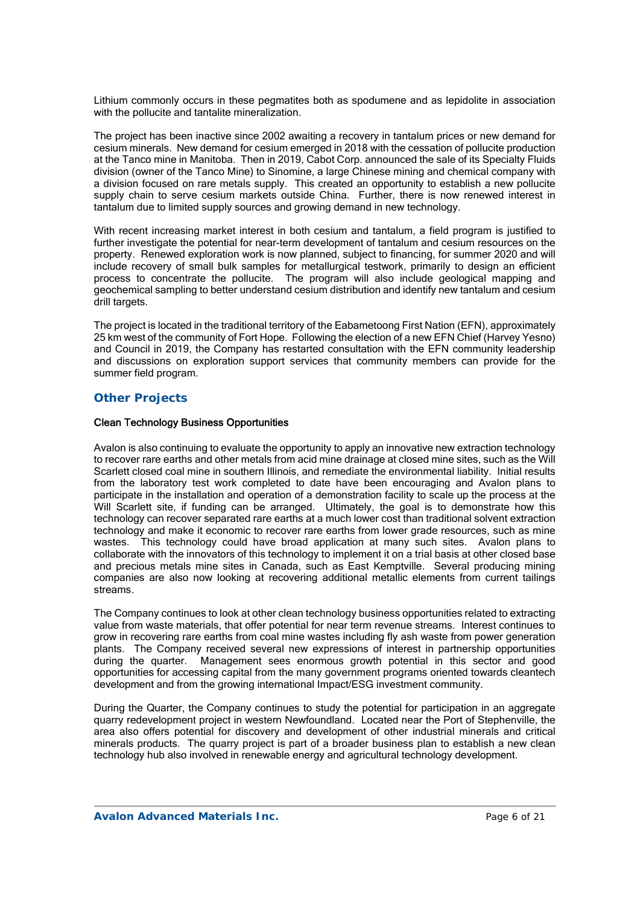Lithium commonly occurs in these pegmatites both as spodumene and as lepidolite in association with the pollucite and tantalite mineralization.

The project has been inactive since 2002 awaiting a recovery in tantalum prices or new demand for cesium minerals. New demand for cesium emerged in 2018 with the cessation of pollucite production at the Tanco mine in Manitoba. Then in 2019, Cabot Corp. announced the sale of its Specialty Fluids division (owner of the Tanco Mine) to Sinomine, a large Chinese mining and chemical company with a division focused on rare metals supply. This created an opportunity to establish a new pollucite supply chain to serve cesium markets outside China. Further, there is now renewed interest in tantalum due to limited supply sources and growing demand in new technology.

With recent increasing market interest in both cesium and tantalum, a field program is justified to further investigate the potential for near-term development of tantalum and cesium resources on the property. Renewed exploration work is now planned, subject to financing, for summer 2020 and will include recovery of small bulk samples for metallurgical testwork, primarily to design an efficient process to concentrate the pollucite. The program will also include geological mapping and geochemical sampling to better understand cesium distribution and identify new tantalum and cesium drill targets.

The project is located in the traditional territory of the Eabametoong First Nation (EFN), approximately 25 km west of the community of Fort Hope. Following the election of a new EFN Chief (Harvey Yesno) and Council in 2019, the Company has restarted consultation with the EFN community leadership and discussions on exploration support services that community members can provide for the summer field program.

# *Other Projects*

## Clean Technology Business Opportunities

Avalon is also continuing to evaluate the opportunity to apply an innovative new extraction technology to recover rare earths and other metals from acid mine drainage at closed mine sites, such as the Will Scarlett closed coal mine in southern Illinois, and remediate the environmental liability. Initial results from the laboratory test work completed to date have been encouraging and Avalon plans to participate in the installation and operation of a demonstration facility to scale up the process at the Will Scarlett site, if funding can be arranged. Ultimately, the goal is to demonstrate how this technology can recover separated rare earths at a much lower cost than traditional solvent extraction technology and make it economic to recover rare earths from lower grade resources, such as mine wastes. This technology could have broad application at many such sites. Avalon plans to collaborate with the innovators of this technology to implement it on a trial basis at other closed base and precious metals mine sites in Canada, such as East Kemptville. Several producing mining companies are also now looking at recovering additional metallic elements from current tailings streams.

The Company continues to look at other clean technology business opportunities related to extracting value from waste materials, that offer potential for near term revenue streams. Interest continues to grow in recovering rare earths from coal mine wastes including fly ash waste from power generation plants. The Company received several new expressions of interest in partnership opportunities during the quarter. Management sees enormous growth potential in this sector and good opportunities for accessing capital from the many government programs oriented towards cleantech development and from the growing international Impact/ESG investment community.

During the Quarter, the Company continues to study the potential for participation in an aggregate quarry redevelopment project in western Newfoundland. Located near the Port of Stephenville, the area also offers potential for discovery and development of other industrial minerals and critical minerals products. The quarry project is part of a broader business plan to establish a new clean technology hub also involved in renewable energy and agricultural technology development.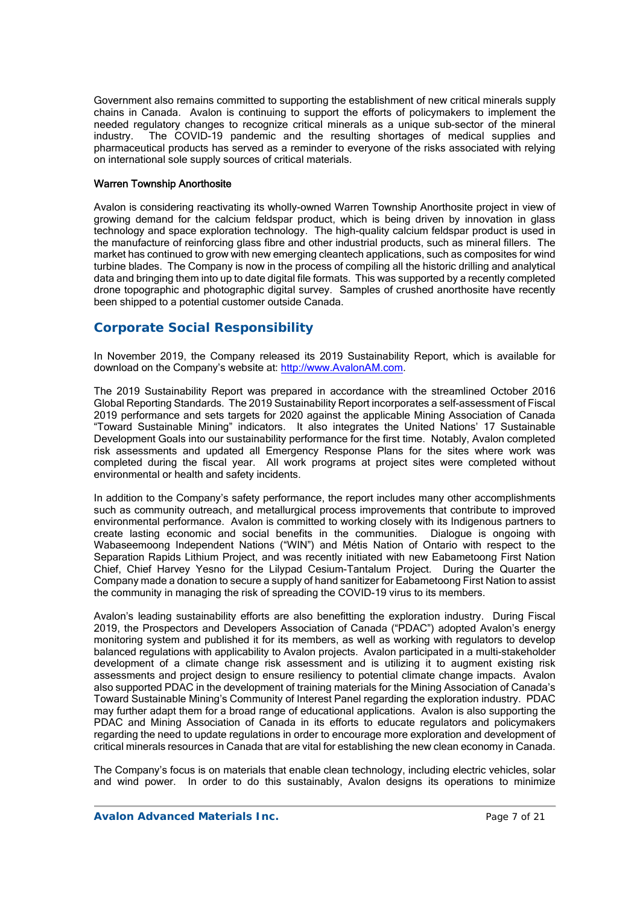Government also remains committed to supporting the establishment of new critical minerals supply chains in Canada. Avalon is continuing to support the efforts of policymakers to implement the needed regulatory changes to recognize critical minerals as a unique sub-sector of the mineral industry. The COVID-19 pandemic and the resulting shortages of medical supplies and pharmaceutical products has served as a reminder to everyone of the risks associated with relying on international sole supply sources of critical materials.

## Warren Township Anorthosite

Avalon is considering reactivating its wholly-owned Warren Township Anorthosite project in view of growing demand for the calcium feldspar product, which is being driven by innovation in glass technology and space exploration technology. The high-quality calcium feldspar product is used in the manufacture of reinforcing glass fibre and other industrial products, such as mineral fillers. The market has continued to grow with new emerging cleantech applications, such as composites for wind turbine blades. The Company is now in the process of compiling all the historic drilling and analytical data and bringing them into up to date digital file formats. This was supported by a recently completed drone topographic and photographic digital survey. Samples of crushed anorthosite have recently been shipped to a potential customer outside Canada.

# **Corporate Social Responsibility**

In November 2019, the Company released its 2019 Sustainability Report, which is available for download on the Company's website at: http://www.AvalonAM.com.

The 2019 Sustainability Report was prepared in accordance with the streamlined October 2016 Global Reporting Standards. The 2019 Sustainability Report incorporates a self-assessment of Fiscal 2019 performance and sets targets for 2020 against the applicable Mining Association of Canada "Toward Sustainable Mining" indicators. It also integrates the United Nations' 17 Sustainable Development Goals into our sustainability performance for the first time. Notably, Avalon completed risk assessments and updated all Emergency Response Plans for the sites where work was completed during the fiscal year. All work programs at project sites were completed without environmental or health and safety incidents.

In addition to the Company's safety performance, the report includes many other accomplishments such as community outreach, and metallurgical process improvements that contribute to improved environmental performance. Avalon is committed to working closely with its Indigenous partners to create lasting economic and social benefits in the communities. Dialogue is ongoing with Wabaseemoong Independent Nations ("WIN") and Métis Nation of Ontario with respect to the Separation Rapids Lithium Project, and was recently initiated with new Eabametoong First Nation Chief, Chief Harvey Yesno for the Lilypad Cesium-Tantalum Project. During the Quarter the Company made a donation to secure a supply of hand sanitizer for Eabametoong First Nation to assist the community in managing the risk of spreading the COVID-19 virus to its members.

Avalon's leading sustainability efforts are also benefitting the exploration industry. During Fiscal 2019, the Prospectors and Developers Association of Canada ("PDAC") adopted Avalon's energy monitoring system and published it for its members, as well as working with regulators to develop balanced regulations with applicability to Avalon projects. Avalon participated in a multi-stakeholder development of a climate change risk assessment and is utilizing it to augment existing risk assessments and project design to ensure resiliency to potential climate change impacts. Avalon also supported PDAC in the development of training materials for the Mining Association of Canada's Toward Sustainable Mining's Community of Interest Panel regarding the exploration industry. PDAC may further adapt them for a broad range of educational applications. Avalon is also supporting the PDAC and Mining Association of Canada in its efforts to educate regulators and policymakers regarding the need to update regulations in order to encourage more exploration and development of critical minerals resources in Canada that are vital for establishing the new clean economy in Canada.

The Company's focus is on materials that enable clean technology, including electric vehicles, solar and wind power. In order to do this sustainably, Avalon designs its operations to minimize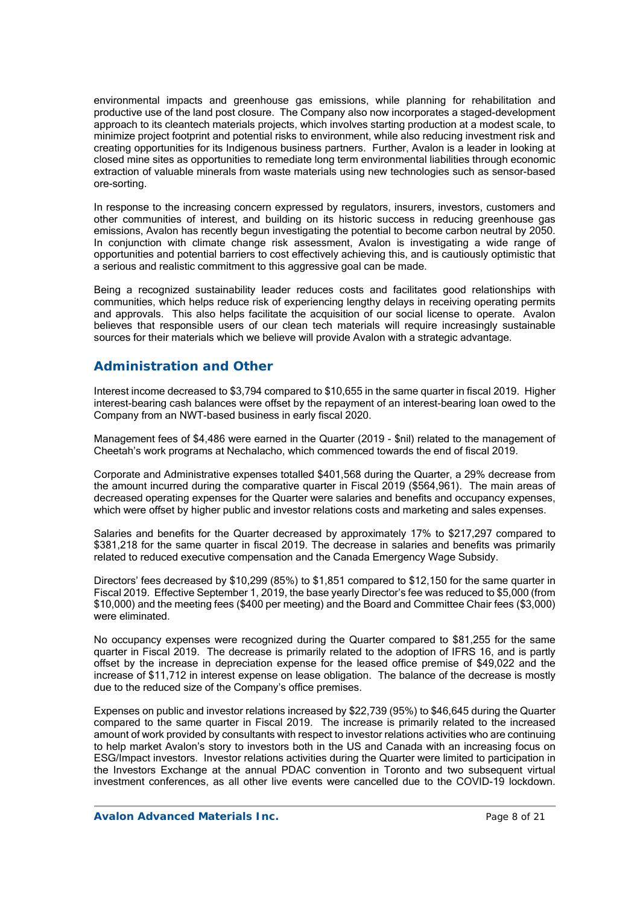environmental impacts and greenhouse gas emissions, while planning for rehabilitation and productive use of the land post closure. The Company also now incorporates a staged-development approach to its cleantech materials projects, which involves starting production at a modest scale, to minimize project footprint and potential risks to environment, while also reducing investment risk and creating opportunities for its Indigenous business partners. Further, Avalon is a leader in looking at closed mine sites as opportunities to remediate long term environmental liabilities through economic extraction of valuable minerals from waste materials using new technologies such as sensor-based ore-sorting.

In response to the increasing concern expressed by regulators, insurers, investors, customers and other communities of interest, and building on its historic success in reducing greenhouse gas emissions, Avalon has recently begun investigating the potential to become carbon neutral by 2050. In conjunction with climate change risk assessment, Avalon is investigating a wide range of opportunities and potential barriers to cost effectively achieving this, and is cautiously optimistic that a serious and realistic commitment to this aggressive goal can be made.

Being a recognized sustainability leader reduces costs and facilitates good relationships with communities, which helps reduce risk of experiencing lengthy delays in receiving operating permits and approvals. This also helps facilitate the acquisition of our social license to operate. Avalon believes that responsible users of our clean tech materials will require increasingly sustainable sources for their materials which we believe will provide Avalon with a strategic advantage.

# **Administration and Other**

Interest income decreased to \$3,794 compared to \$10,655 in the same quarter in fiscal 2019. Higher interest-bearing cash balances were offset by the repayment of an interest-bearing loan owed to the Company from an NWT-based business in early fiscal 2020.

Management fees of \$4,486 were earned in the Quarter (2019 - \$nil) related to the management of Cheetah's work programs at Nechalacho, which commenced towards the end of fiscal 2019.

Corporate and Administrative expenses totalled \$401,568 during the Quarter, a 29% decrease from the amount incurred during the comparative quarter in Fiscal 2019 (\$564,961). The main areas of decreased operating expenses for the Quarter were salaries and benefits and occupancy expenses, which were offset by higher public and investor relations costs and marketing and sales expenses.

Salaries and benefits for the Quarter decreased by approximately 17% to \$217,297 compared to \$381,218 for the same quarter in fiscal 2019. The decrease in salaries and benefits was primarily related to reduced executive compensation and the Canada Emergency Wage Subsidy.

Directors' fees decreased by \$10,299 (85%) to \$1,851 compared to \$12,150 for the same quarter in Fiscal 2019. Effective September 1, 2019, the base yearly Director's fee was reduced to \$5,000 (from \$10,000) and the meeting fees (\$400 per meeting) and the Board and Committee Chair fees (\$3,000) were eliminated.

No occupancy expenses were recognized during the Quarter compared to \$81,255 for the same quarter in Fiscal 2019. The decrease is primarily related to the adoption of IFRS 16, and is partly offset by the increase in depreciation expense for the leased office premise of \$49,022 and the increase of \$11,712 in interest expense on lease obligation. The balance of the decrease is mostly due to the reduced size of the Company's office premises.

Expenses on public and investor relations increased by \$22,739 (95%) to \$46,645 during the Quarter compared to the same quarter in Fiscal 2019. The increase is primarily related to the increased amount of work provided by consultants with respect to investor relations activities who are continuing to help market Avalon's story to investors both in the US and Canada with an increasing focus on ESG/Impact investors. Investor relations activities during the Quarter were limited to participation in the Investors Exchange at the annual PDAC convention in Toronto and two subsequent virtual investment conferences, as all other live events were cancelled due to the COVID-19 lockdown.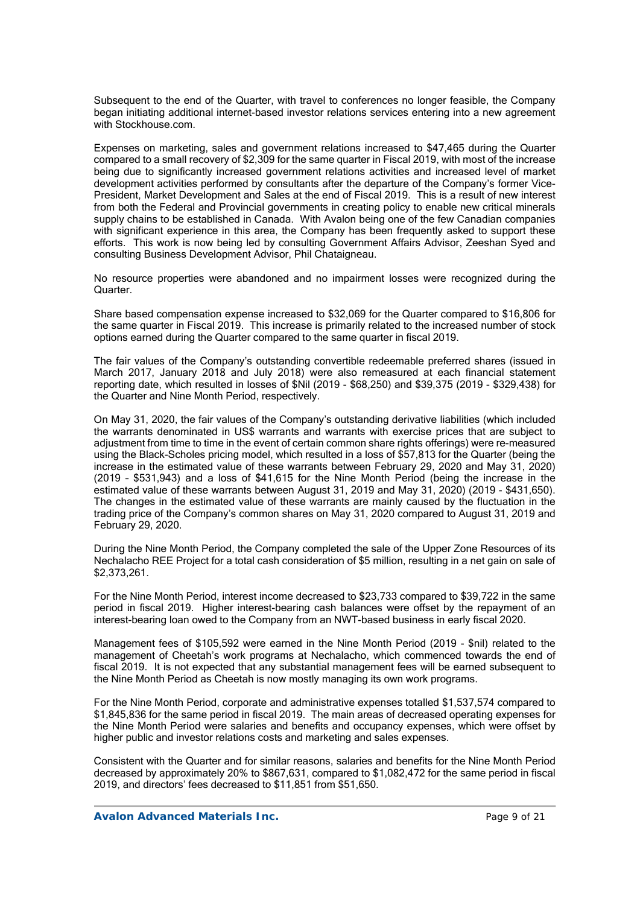Subsequent to the end of the Quarter, with travel to conferences no longer feasible, the Company began initiating additional internet-based investor relations services entering into a new agreement with Stockhouse.com.

Expenses on marketing, sales and government relations increased to \$47,465 during the Quarter compared to a small recovery of \$2,309 for the same quarter in Fiscal 2019, with most of the increase being due to significantly increased government relations activities and increased level of market development activities performed by consultants after the departure of the Company's former Vice-President, Market Development and Sales at the end of Fiscal 2019. This is a result of new interest from both the Federal and Provincial governments in creating policy to enable new critical minerals supply chains to be established in Canada. With Avalon being one of the few Canadian companies with significant experience in this area, the Company has been frequently asked to support these efforts. This work is now being led by consulting Government Affairs Advisor, Zeeshan Syed and consulting Business Development Advisor, Phil Chataigneau.

No resource properties were abandoned and no impairment losses were recognized during the Quarter.

Share based compensation expense increased to \$32,069 for the Quarter compared to \$16,806 for the same quarter in Fiscal 2019. This increase is primarily related to the increased number of stock options earned during the Quarter compared to the same quarter in fiscal 2019.

The fair values of the Company's outstanding convertible redeemable preferred shares (issued in March 2017, January 2018 and July 2018) were also remeasured at each financial statement reporting date, which resulted in losses of \$Nil (2019 - \$68,250) and \$39,375 (2019 - \$329,438) for the Quarter and Nine Month Period, respectively.

On May 31, 2020, the fair values of the Company's outstanding derivative liabilities (which included the warrants denominated in US\$ warrants and warrants with exercise prices that are subject to adjustment from time to time in the event of certain common share rights offerings) were re-measured using the Black-Scholes pricing model, which resulted in a loss of \$57,813 for the Quarter (being the increase in the estimated value of these warrants between February 29, 2020 and May 31, 2020) (2019 – \$531,943) and a loss of \$41,615 for the Nine Month Period (being the increase in the estimated value of these warrants between August 31, 2019 and May 31, 2020) (2019 - \$431,650). The changes in the estimated value of these warrants are mainly caused by the fluctuation in the trading price of the Company's common shares on May 31, 2020 compared to August 31, 2019 and February 29, 2020.

During the Nine Month Period, the Company completed the sale of the Upper Zone Resources of its Nechalacho REE Project for a total cash consideration of \$5 million, resulting in a net gain on sale of \$2,373,261.

For the Nine Month Period, interest income decreased to \$23,733 compared to \$39,722 in the same period in fiscal 2019. Higher interest-bearing cash balances were offset by the repayment of an interest-bearing loan owed to the Company from an NWT-based business in early fiscal 2020.

Management fees of \$105,592 were earned in the Nine Month Period (2019 - \$nil) related to the management of Cheetah's work programs at Nechalacho, which commenced towards the end of fiscal 2019. It is not expected that any substantial management fees will be earned subsequent to the Nine Month Period as Cheetah is now mostly managing its own work programs.

For the Nine Month Period, corporate and administrative expenses totalled \$1,537,574 compared to \$1,845,836 for the same period in fiscal 2019. The main areas of decreased operating expenses for the Nine Month Period were salaries and benefits and occupancy expenses, which were offset by higher public and investor relations costs and marketing and sales expenses.

Consistent with the Quarter and for similar reasons, salaries and benefits for the Nine Month Period decreased by approximately 20% to \$867,631, compared to \$1,082,472 for the same period in fiscal 2019, and directors' fees decreased to \$11,851 from \$51,650.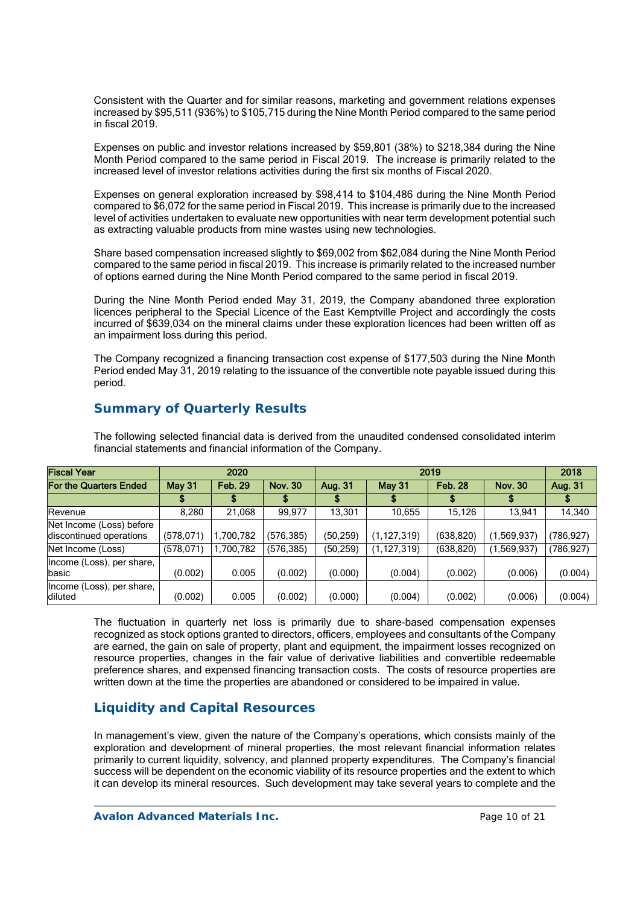Consistent with the Quarter and for similar reasons, marketing and government relations expenses increased by \$95,511 (936%) to \$105,715 during the Nine Month Period compared to the same period in fiscal 2019.

Expenses on public and investor relations increased by \$59,801 (38%) to \$218,384 during the Nine Month Period compared to the same period in Fiscal 2019. The increase is primarily related to the increased level of investor relations activities during the first six months of Fiscal 2020.

Expenses on general exploration increased by \$98,414 to \$104,486 during the Nine Month Period compared to \$6,072 for the same period in Fiscal 2019. This increase is primarily due to the increased level of activities undertaken to evaluate new opportunities with near term development potential such as extracting valuable products from mine wastes using new technologies.

Share based compensation increased slightly to \$69,002 from \$62,084 during the Nine Month Period compared to the same period in fiscal 2019. This increase is primarily related to the increased number of options earned during the Nine Month Period compared to the same period in fiscal 2019.

During the Nine Month Period ended May 31, 2019, the Company abandoned three exploration licences peripheral to the Special Licence of the East Kemptville Project and accordingly the costs incurred of \$639,034 on the mineral claims under these exploration licences had been written off as an impairment loss during this period.

The Company recognized a financing transaction cost expense of \$177,503 during the Nine Month Period ended May 31, 2019 relating to the issuance of the convertible note payable issued during this period.

## Fiscal Year 2020 2019 2018 For the Quarters Ended  $||$  May 31  $||$  Feb. 29  $||$  Nov. 30  $||$  Aug. 31  $||$  May 31  $||$  Feb. 28  $||$  Nov. 30  $||$  Aug. 31 | \$ | \$ | \$ | \$ | \$ | \$ Revenue 8,280 21,068 99,977 13,301 10,655 15,126 13,941 14,340 Net Income (Loss) before discontinued operations (578,071) 1,700,782 (576,385) (50,259) (1,127,319) (638,820) (1,569,937) (786,927) Net Income (Loss) (578,071) 1,700,782 (576,385) (50,259) (1,127,319) (638,820) (1,569,937) (786,927) Income (Loss), per share,<br>basic basic (0.002) 0.005 (0.002) (0.000) (0.004) (0.002) (0.006) (0.004) Income (Loss), per share, diluted (0.002) 0.005 (0.002) (0.000) (0.004) (0.002) (0.006) (0.004)

**Summary of Quarterly Results** 

The following selected financial data is derived from the unaudited condensed consolidated interim financial statements and financial information of the Company.

The fluctuation in quarterly net loss is primarily due to share-based compensation expenses recognized as stock options granted to directors, officers, employees and consultants of the Company are earned, the gain on sale of property, plant and equipment, the impairment losses recognized on resource properties, changes in the fair value of derivative liabilities and convertible redeemable preference shares, and expensed financing transaction costs. The costs of resource properties are written down at the time the properties are abandoned or considered to be impaired in value.

# **Liquidity and Capital Resources**

In management's view, given the nature of the Company's operations, which consists mainly of the exploration and development of mineral properties, the most relevant financial information relates primarily to current liquidity, solvency, and planned property expenditures. The Company's financial success will be dependent on the economic viability of its resource properties and the extent to which it can develop its mineral resources. Such development may take several years to complete and the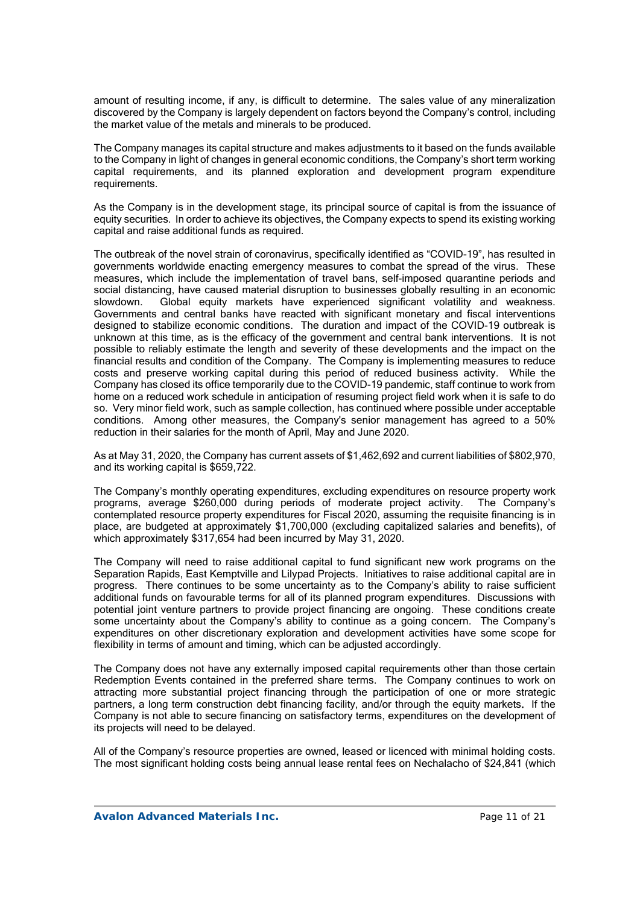amount of resulting income, if any, is difficult to determine. The sales value of any mineralization discovered by the Company is largely dependent on factors beyond the Company's control, including the market value of the metals and minerals to be produced.

The Company manages its capital structure and makes adjustments to it based on the funds available to the Company in light of changes in general economic conditions, the Company's short term working capital requirements, and its planned exploration and development program expenditure requirements.

As the Company is in the development stage, its principal source of capital is from the issuance of equity securities. In order to achieve its objectives, the Company expects to spend its existing working capital and raise additional funds as required.

The outbreak of the novel strain of coronavirus, specifically identified as "COVID-19", has resulted in governments worldwide enacting emergency measures to combat the spread of the virus. These measures, which include the implementation of travel bans, self-imposed quarantine periods and social distancing, have caused material disruption to businesses globally resulting in an economic slowdown. Global equity markets have experienced significant volatility and weakness. Governments and central banks have reacted with significant monetary and fiscal interventions designed to stabilize economic conditions. The duration and impact of the COVID-19 outbreak is unknown at this time, as is the efficacy of the government and central bank interventions. It is not possible to reliably estimate the length and severity of these developments and the impact on the financial results and condition of the Company. The Company is implementing measures to reduce costs and preserve working capital during this period of reduced business activity. While the Company has closed its office temporarily due to the COVID-19 pandemic, staff continue to work from home on a reduced work schedule in anticipation of resuming project field work when it is safe to do so. Very minor field work, such as sample collection, has continued where possible under acceptable conditions. Among other measures, the Company's senior management has agreed to a 50% reduction in their salaries for the month of April, May and June 2020.

As at May 31, 2020, the Company has current assets of \$1,462,692 and current liabilities of \$802,970, and its working capital is \$659,722.

The Company's monthly operating expenditures, excluding expenditures on resource property work programs, average \$260,000 during periods of moderate project activity. The Company's contemplated resource property expenditures for Fiscal 2020, assuming the requisite financing is in place, are budgeted at approximately \$1,700,000 (excluding capitalized salaries and benefits), of which approximately \$317,654 had been incurred by May 31, 2020.

The Company will need to raise additional capital to fund significant new work programs on the Separation Rapids, East Kemptville and Lilypad Projects. Initiatives to raise additional capital are in progress. There continues to be some uncertainty as to the Company's ability to raise sufficient additional funds on favourable terms for all of its planned program expenditures. Discussions with potential joint venture partners to provide project financing are ongoing. These conditions create some uncertainty about the Company's ability to continue as a going concern. The Company's expenditures on other discretionary exploration and development activities have some scope for flexibility in terms of amount and timing, which can be adjusted accordingly.

The Company does not have any externally imposed capital requirements other than those certain Redemption Events contained in the preferred share terms. The Company continues to work on attracting more substantial project financing through the participation of one or more strategic partners, a long term construction debt financing facility, and/or through the equity markets. If the Company is not able to secure financing on satisfactory terms, expenditures on the development of its projects will need to be delayed.

All of the Company's resource properties are owned, leased or licenced with minimal holding costs. The most significant holding costs being annual lease rental fees on Nechalacho of \$24,841 (which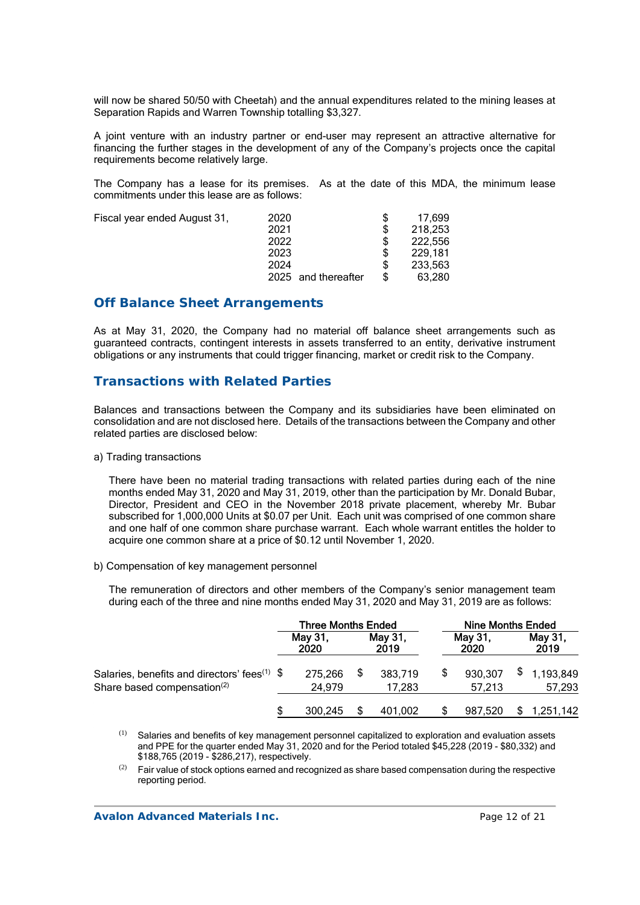will now be shared 50/50 with Cheetah) and the annual expenditures related to the mining leases at Separation Rapids and Warren Township totalling \$3,327.

A joint venture with an industry partner or end-user may represent an attractive alternative for financing the further stages in the development of any of the Company's projects once the capital requirements become relatively large.

The Company has a lease for its premises. As at the date of this MDA, the minimum lease commitments under this lease are as follows:

| Fiscal year ended August 31, | 2020                | 17.699  |
|------------------------------|---------------------|---------|
|                              | 2021                | 218,253 |
|                              | 2022                | 222.556 |
|                              | 2023                | 229.181 |
|                              | 2024                | 233.563 |
|                              | 2025 and thereafter | 63.280  |
|                              |                     |         |

## **Off Balance Sheet Arrangements**

As at May 31, 2020, the Company had no material off balance sheet arrangements such as guaranteed contracts, contingent interests in assets transferred to an entity, derivative instrument obligations or any instruments that could trigger financing, market or credit risk to the Company.

## **Transactions with Related Parties**

Balances and transactions between the Company and its subsidiaries have been eliminated on consolidation and are not disclosed here. Details of the transactions between the Company and other related parties are disclosed below:

a) Trading transactions

There have been no material trading transactions with related parties during each of the nine months ended May 31, 2020 and May 31, 2019, other than the participation by Mr. Donald Bubar, Director, President and CEO in the November 2018 private placement, whereby Mr. Bubar subscribed for 1,000,000 Units at \$0.07 per Unit. Each unit was comprised of one common share and one half of one common share purchase warrant. Each whole warrant entitles the holder to acquire one common share at a price of \$0.12 until November 1, 2020.

b) Compensation of key management personnel

The remuneration of directors and other members of the Company's senior management team during each of the three and nine months ended May 31, 2020 and May 31, 2019 are as follows:

|                                                                                                     | <b>Three Months Ended</b> |  |                   | <b>Nine Months Ended</b> |                   |  |                     |
|-----------------------------------------------------------------------------------------------------|---------------------------|--|-------------------|--------------------------|-------------------|--|---------------------|
|                                                                                                     | May 31,<br>2020           |  | May 31,<br>2019   |                          | May 31,<br>2020   |  | May 31,<br>2019     |
| Salaries, benefits and directors' fees <sup>(1)</sup> \$<br>Share based compensation <sup>(2)</sup> | 275,266<br>24.979         |  | 383,719<br>17.283 | \$.                      | 930,307<br>57.213 |  | 1,193,849<br>57,293 |
|                                                                                                     | 300.245                   |  | 401.002           |                          | 987.520           |  | 1,251,142           |

(1) Salaries and benefits of key management personnel capitalized to exploration and evaluation assets and PPE for the quarter ended May 31, 2020 and for the Period totaled \$45,228 (2019 - \$80,332) and \$188,765 (2019 - \$286,217), respectively.

 $(2)$  Fair value of stock options earned and recognized as share based compensation during the respective reporting period.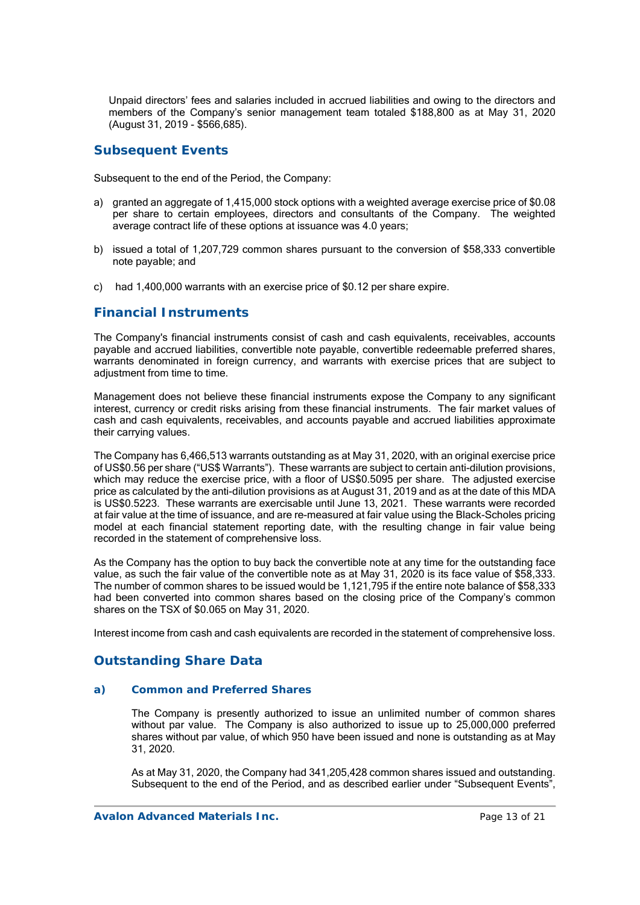Unpaid directors' fees and salaries included in accrued liabilities and owing to the directors and members of the Company's senior management team totaled \$188,800 as at May 31, 2020 (August 31, 2019 - \$566,685).

# **Subsequent Events**

Subsequent to the end of the Period, the Company:

- a) granted an aggregate of 1,415,000 stock options with a weighted average exercise price of \$0.08 per share to certain employees, directors and consultants of the Company. The weighted average contract life of these options at issuance was 4.0 years;
- b) issued a total of 1,207,729 common shares pursuant to the conversion of \$58,333 convertible note payable; and
- c) had 1,400,000 warrants with an exercise price of \$0.12 per share expire.

# **Financial Instruments**

The Company's financial instruments consist of cash and cash equivalents, receivables, accounts payable and accrued liabilities, convertible note payable, convertible redeemable preferred shares, warrants denominated in foreign currency, and warrants with exercise prices that are subject to adiustment from time to time.

Management does not believe these financial instruments expose the Company to any significant interest, currency or credit risks arising from these financial instruments. The fair market values of cash and cash equivalents, receivables, and accounts payable and accrued liabilities approximate their carrying values.

The Company has 6,466,513 warrants outstanding as at May 31, 2020, with an original exercise price of US\$0.56 per share ("US\$ Warrants"). These warrants are subject to certain anti-dilution provisions, which may reduce the exercise price, with a floor of US\$0.5095 per share. The adjusted exercise price as calculated by the anti-dilution provisions as at August 31, 2019 and as at the date of this MDA is US\$0.5223. These warrants are exercisable until June 13, 2021. These warrants were recorded at fair value at the time of issuance, and are re-measured at fair value using the Black-Scholes pricing model at each financial statement reporting date, with the resulting change in fair value being recorded in the statement of comprehensive loss.

As the Company has the option to buy back the convertible note at any time for the outstanding face value, as such the fair value of the convertible note as at May 31, 2020 is its face value of \$58,333. The number of common shares to be issued would be 1,121,795 if the entire note balance of \$58,333 had been converted into common shares based on the closing price of the Company's common shares on the TSX of \$0.065 on May 31, 2020.

Interest income from cash and cash equivalents are recorded in the statement of comprehensive loss.

# **Outstanding Share Data**

## *a) Common and Preferred Shares*

The Company is presently authorized to issue an unlimited number of common shares without par value. The Company is also authorized to issue up to 25,000,000 preferred shares without par value, of which 950 have been issued and none is outstanding as at May 31, 2020.

As at May 31, 2020, the Company had 341,205,428 common shares issued and outstanding. Subsequent to the end of the Period, and as described earlier under "Subsequent Events",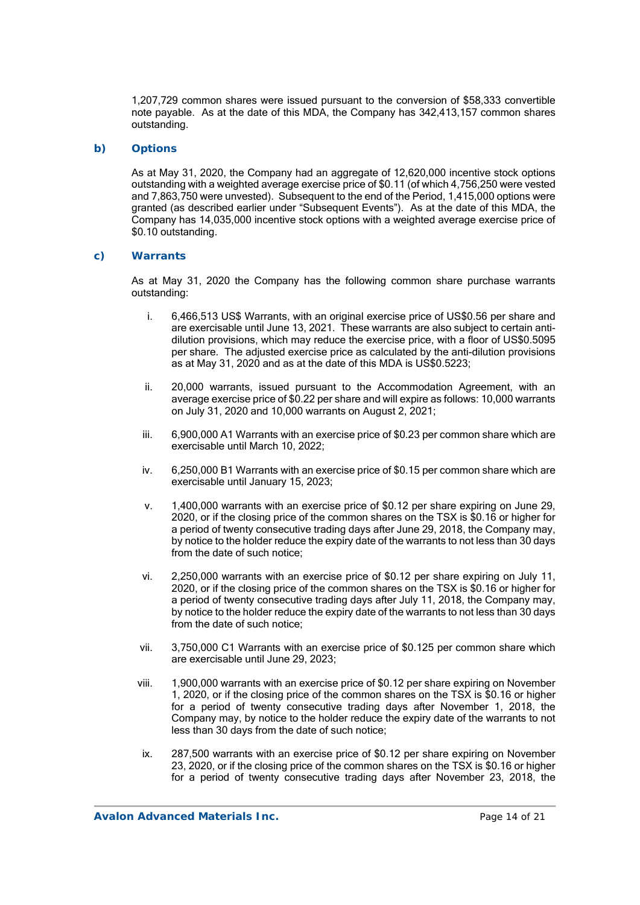1,207,729 common shares were issued pursuant to the conversion of \$58,333 convertible note payable. As at the date of this MDA, the Company has 342,413,157 common shares outstanding.

## *b) Options*

As at May 31, 2020, the Company had an aggregate of 12,620,000 incentive stock options outstanding with a weighted average exercise price of \$0.11 (of which 4,756,250 were vested and 7,863,750 were unvested). Subsequent to the end of the Period, 1,415,000 options were granted (as described earlier under "Subsequent Events"). As at the date of this MDA, the Company has 14,035,000 incentive stock options with a weighted average exercise price of \$0.10 outstanding.

## *c) Warrants*

As at May 31, 2020 the Company has the following common share purchase warrants outstanding:

- i. 6,466,513 US\$ Warrants, with an original exercise price of US\$0.56 per share and are exercisable until June 13, 2021. These warrants are also subject to certain antidilution provisions, which may reduce the exercise price, with a floor of US\$0.5095 per share. The adjusted exercise price as calculated by the anti-dilution provisions as at May 31, 2020 and as at the date of this MDA is US\$0.5223;
- ii. 20,000 warrants, issued pursuant to the Accommodation Agreement, with an average exercise price of \$0.22 per share and will expire as follows: 10,000 warrants on July 31, 2020 and 10,000 warrants on August 2, 2021;
- iii. 6,900,000 A1 Warrants with an exercise price of \$0.23 per common share which are exercisable until March 10, 2022;
- iv. 6,250,000 B1 Warrants with an exercise price of \$0.15 per common share which are exercisable until January 15, 2023;
- v. 1,400,000 warrants with an exercise price of \$0.12 per share expiring on June 29, 2020, or if the closing price of the common shares on the TSX is \$0.16 or higher for a period of twenty consecutive trading days after June 29, 2018, the Company may, by notice to the holder reduce the expiry date of the warrants to not less than 30 days from the date of such notice;
- vi. 2,250,000 warrants with an exercise price of \$0.12 per share expiring on July 11, 2020, or if the closing price of the common shares on the TSX is \$0.16 or higher for a period of twenty consecutive trading days after July 11, 2018, the Company may, by notice to the holder reduce the expiry date of the warrants to not less than 30 days from the date of such notice;
- vii. 3,750,000 C1 Warrants with an exercise price of \$0.125 per common share which are exercisable until June 29, 2023;
- viii. 1,900,000 warrants with an exercise price of \$0.12 per share expiring on November 1, 2020, or if the closing price of the common shares on the TSX is \$0.16 or higher for a period of twenty consecutive trading days after November 1, 2018, the Company may, by notice to the holder reduce the expiry date of the warrants to not less than 30 days from the date of such notice;
- ix. 287,500 warrants with an exercise price of \$0.12 per share expiring on November 23, 2020, or if the closing price of the common shares on the TSX is \$0.16 or higher for a period of twenty consecutive trading days after November 23, 2018, the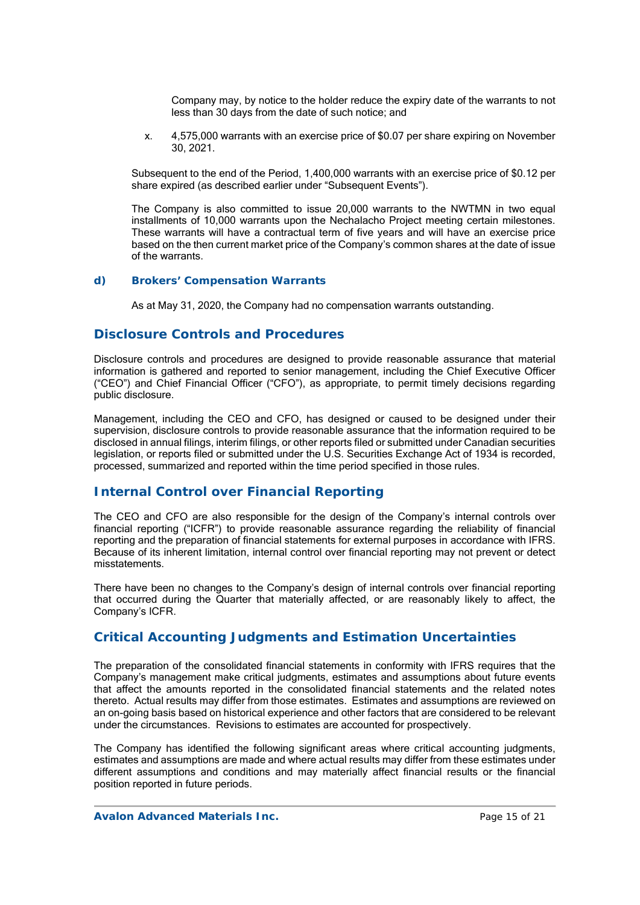Company may, by notice to the holder reduce the expiry date of the warrants to not less than 30 days from the date of such notice; and

x. 4,575,000 warrants with an exercise price of \$0.07 per share expiring on November 30, 2021.

Subsequent to the end of the Period, 1,400,000 warrants with an exercise price of \$0.12 per share expired (as described earlier under "Subsequent Events").

The Company is also committed to issue 20,000 warrants to the NWTMN in two equal installments of 10,000 warrants upon the Nechalacho Project meeting certain milestones. These warrants will have a contractual term of five years and will have an exercise price based on the then current market price of the Company's common shares at the date of issue of the warrants.

#### *d) Brokers' Compensation Warrants*

As at May 31, 2020, the Company had no compensation warrants outstanding.

## **Disclosure Controls and Procedures**

Disclosure controls and procedures are designed to provide reasonable assurance that material information is gathered and reported to senior management, including the Chief Executive Officer ("CEO") and Chief Financial Officer ("CFO"), as appropriate, to permit timely decisions regarding public disclosure.

Management, including the CEO and CFO, has designed or caused to be designed under their supervision, disclosure controls to provide reasonable assurance that the information required to be disclosed in annual filings, interim filings, or other reports filed or submitted under Canadian securities legislation, or reports filed or submitted under the U.S. Securities Exchange Act of 1934 is recorded, processed, summarized and reported within the time period specified in those rules.

## **Internal Control over Financial Reporting**

The CEO and CFO are also responsible for the design of the Company's internal controls over financial reporting ("ICFR") to provide reasonable assurance regarding the reliability of financial reporting and the preparation of financial statements for external purposes in accordance with IFRS. Because of its inherent limitation, internal control over financial reporting may not prevent or detect misstatements.

There have been no changes to the Company's design of internal controls over financial reporting that occurred during the Quarter that materially affected, or are reasonably likely to affect, the Company's ICFR.

# **Critical Accounting Judgments and Estimation Uncertainties**

The preparation of the consolidated financial statements in conformity with IFRS requires that the Company's management make critical judgments, estimates and assumptions about future events that affect the amounts reported in the consolidated financial statements and the related notes thereto. Actual results may differ from those estimates. Estimates and assumptions are reviewed on an on-going basis based on historical experience and other factors that are considered to be relevant under the circumstances. Revisions to estimates are accounted for prospectively.

The Company has identified the following significant areas where critical accounting judgments, estimates and assumptions are made and where actual results may differ from these estimates under different assumptions and conditions and may materially affect financial results or the financial position reported in future periods.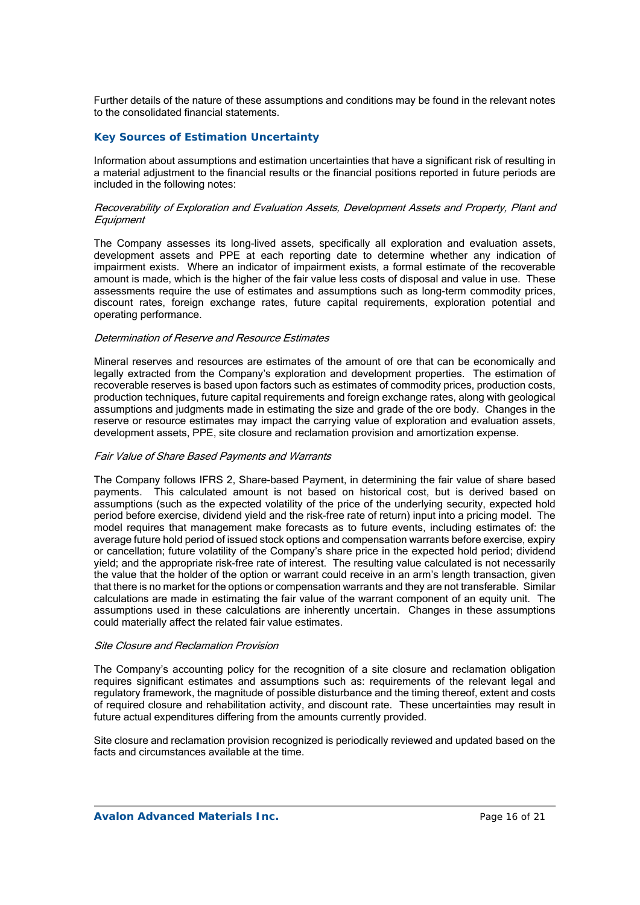Further details of the nature of these assumptions and conditions may be found in the relevant notes to the consolidated financial statements.

## *Key Sources of Estimation Uncertainty*

Information about assumptions and estimation uncertainties that have a significant risk of resulting in a material adjustment to the financial results or the financial positions reported in future periods are included in the following notes:

#### Recoverability of Exploration and Evaluation Assets, Development Assets and Property, Plant and **Equipment**

The Company assesses its long-lived assets, specifically all exploration and evaluation assets, development assets and PPE at each reporting date to determine whether any indication of impairment exists. Where an indicator of impairment exists, a formal estimate of the recoverable amount is made, which is the higher of the fair value less costs of disposal and value in use. These assessments require the use of estimates and assumptions such as long-term commodity prices, discount rates, foreign exchange rates, future capital requirements, exploration potential and operating performance.

#### Determination of Reserve and Resource Estimates

Mineral reserves and resources are estimates of the amount of ore that can be economically and legally extracted from the Company's exploration and development properties. The estimation of recoverable reserves is based upon factors such as estimates of commodity prices, production costs, production techniques, future capital requirements and foreign exchange rates, along with geological assumptions and judgments made in estimating the size and grade of the ore body. Changes in the reserve or resource estimates may impact the carrying value of exploration and evaluation assets, development assets, PPE, site closure and reclamation provision and amortization expense.

#### Fair Value of Share Based Payments and Warrants

The Company follows IFRS 2, Share-based Payment, in determining the fair value of share based payments. This calculated amount is not based on historical cost, but is derived based on assumptions (such as the expected volatility of the price of the underlying security, expected hold period before exercise, dividend yield and the risk-free rate of return) input into a pricing model. The model requires that management make forecasts as to future events, including estimates of: the average future hold period of issued stock options and compensation warrants before exercise, expiry or cancellation; future volatility of the Company's share price in the expected hold period; dividend yield; and the appropriate risk-free rate of interest. The resulting value calculated is not necessarily the value that the holder of the option or warrant could receive in an arm's length transaction, given that there is no market for the options or compensation warrants and they are not transferable. Similar calculations are made in estimating the fair value of the warrant component of an equity unit. The assumptions used in these calculations are inherently uncertain. Changes in these assumptions could materially affect the related fair value estimates.

#### Site Closure and Reclamation Provision

The Company's accounting policy for the recognition of a site closure and reclamation obligation requires significant estimates and assumptions such as: requirements of the relevant legal and regulatory framework, the magnitude of possible disturbance and the timing thereof, extent and costs of required closure and rehabilitation activity, and discount rate. These uncertainties may result in future actual expenditures differing from the amounts currently provided.

Site closure and reclamation provision recognized is periodically reviewed and updated based on the facts and circumstances available at the time.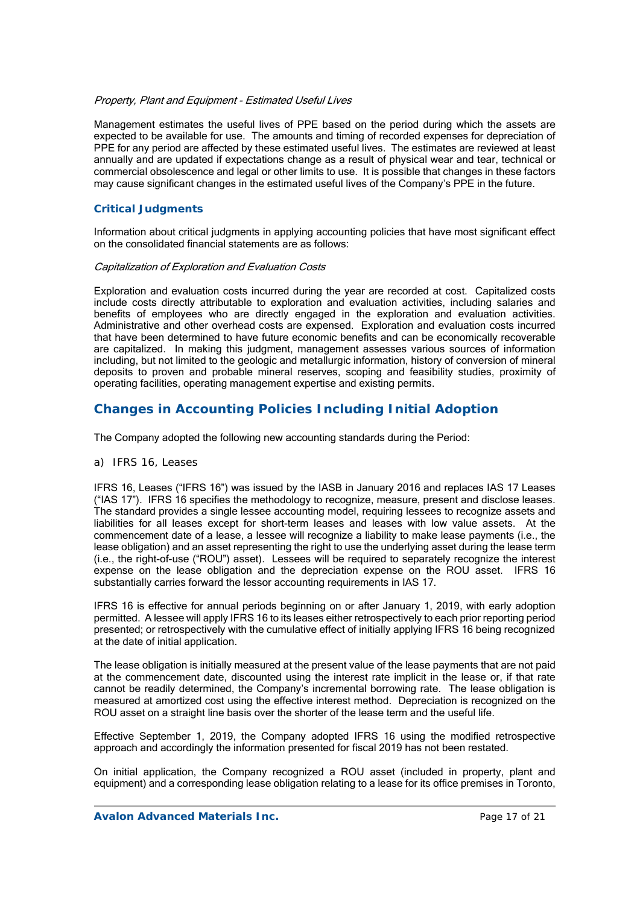#### Property, Plant and Equipment - Estimated Useful Lives

Management estimates the useful lives of PPE based on the period during which the assets are expected to be available for use. The amounts and timing of recorded expenses for depreciation of PPE for any period are affected by these estimated useful lives. The estimates are reviewed at least annually and are updated if expectations change as a result of physical wear and tear, technical or commercial obsolescence and legal or other limits to use. It is possible that changes in these factors may cause significant changes in the estimated useful lives of the Company's PPE in the future.

### *Critical Judgments*

Information about critical judgments in applying accounting policies that have most significant effect on the consolidated financial statements are as follows:

#### Capitalization of Exploration and Evaluation Costs

Exploration and evaluation costs incurred during the year are recorded at cost. Capitalized costs include costs directly attributable to exploration and evaluation activities, including salaries and benefits of employees who are directly engaged in the exploration and evaluation activities. Administrative and other overhead costs are expensed. Exploration and evaluation costs incurred that have been determined to have future economic benefits and can be economically recoverable are capitalized. In making this judgment, management assesses various sources of information including, but not limited to the geologic and metallurgic information, history of conversion of mineral deposits to proven and probable mineral reserves, scoping and feasibility studies, proximity of operating facilities, operating management expertise and existing permits.

# **Changes in Accounting Policies Including Initial Adoption**

The Company adopted the following new accounting standards during the Period:

*a) IFRS 16, Leases* 

IFRS 16, Leases ("IFRS 16") was issued by the IASB in January 2016 and replaces IAS 17 Leases ("IAS 17"). IFRS 16 specifies the methodology to recognize, measure, present and disclose leases. The standard provides a single lessee accounting model, requiring lessees to recognize assets and liabilities for all leases except for short-term leases and leases with low value assets. At the commencement date of a lease, a lessee will recognize a liability to make lease payments (i.e., the lease obligation) and an asset representing the right to use the underlying asset during the lease term (i.e., the right-of-use ("ROU") asset). Lessees will be required to separately recognize the interest expense on the lease obligation and the depreciation expense on the ROU asset. IFRS 16 substantially carries forward the lessor accounting requirements in IAS 17.

IFRS 16 is effective for annual periods beginning on or after January 1, 2019, with early adoption permitted. A lessee will apply IFRS 16 to its leases either retrospectively to each prior reporting period presented; or retrospectively with the cumulative effect of initially applying IFRS 16 being recognized at the date of initial application.

The lease obligation is initially measured at the present value of the lease payments that are not paid at the commencement date, discounted using the interest rate implicit in the lease or, if that rate cannot be readily determined, the Company's incremental borrowing rate. The lease obligation is measured at amortized cost using the effective interest method. Depreciation is recognized on the ROU asset on a straight line basis over the shorter of the lease term and the useful life.

Effective September 1, 2019, the Company adopted IFRS 16 using the modified retrospective approach and accordingly the information presented for fiscal 2019 has not been restated.

On initial application, the Company recognized a ROU asset (included in property, plant and equipment) and a corresponding lease obligation relating to a lease for its office premises in Toronto,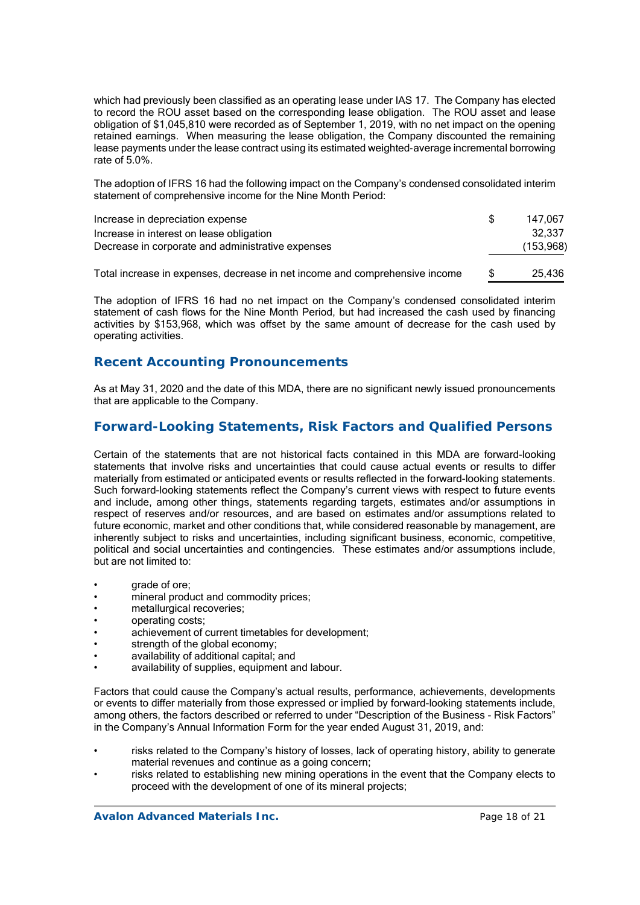which had previously been classified as an operating lease under IAS 17. The Company has elected to record the ROU asset based on the corresponding lease obligation. The ROU asset and lease obligation of \$1,045,810 were recorded as of September 1, 2019, with no net impact on the opening retained earnings. When measuring the lease obligation, the Company discounted the remaining lease payments under the lease contract using its estimated weighted-average incremental borrowing rate of 5.0%.

The adoption of IFRS 16 had the following impact on the Company's condensed consolidated interim statement of comprehensive income for the Nine Month Period:

| Increase in depreciation expense                  | 147.067   |
|---------------------------------------------------|-----------|
| Increase in interest on lease obligation          | 32.337    |
| Decrease in corporate and administrative expenses | (153,968) |

Total increase in expenses, decrease in net income and comprehensive income \$ 25,436

The adoption of IFRS 16 had no net impact on the Company's condensed consolidated interim statement of cash flows for the Nine Month Period, but had increased the cash used by financing activities by \$153,968, which was offset by the same amount of decrease for the cash used by operating activities.

# **Recent Accounting Pronouncements**

As at May 31, 2020 and the date of this MDA, there are no significant newly issued pronouncements that are applicable to the Company.

# **Forward-Looking Statements, Risk Factors and Qualified Persons**

Certain of the statements that are not historical facts contained in this MDA are forward-looking statements that involve risks and uncertainties that could cause actual events or results to differ materially from estimated or anticipated events or results reflected in the forward-looking statements. Such forward-looking statements reflect the Company's current views with respect to future events and include, among other things, statements regarding targets, estimates and/or assumptions in respect of reserves and/or resources, and are based on estimates and/or assumptions related to future economic, market and other conditions that, while considered reasonable by management, are inherently subject to risks and uncertainties, including significant business, economic, competitive, political and social uncertainties and contingencies. These estimates and/or assumptions include, but are not limited to:

- **grade of ore:**
- mineral product and commodity prices;
- metallurgical recoveries;
- operating costs;
- achievement of current timetables for development;
- strength of the global economy;
- availability of additional capital; and
- availability of supplies, equipment and labour.

Factors that could cause the Company's actual results, performance, achievements, developments or events to differ materially from those expressed or implied by forward-looking statements include, among others, the factors described or referred to under "Description of the Business - Risk Factors" in the Company's Annual Information Form for the year ended August 31, 2019, and:

- risks related to the Company's history of losses, lack of operating history, ability to generate material revenues and continue as a going concern;
- risks related to establishing new mining operations in the event that the Company elects to proceed with the development of one of its mineral projects;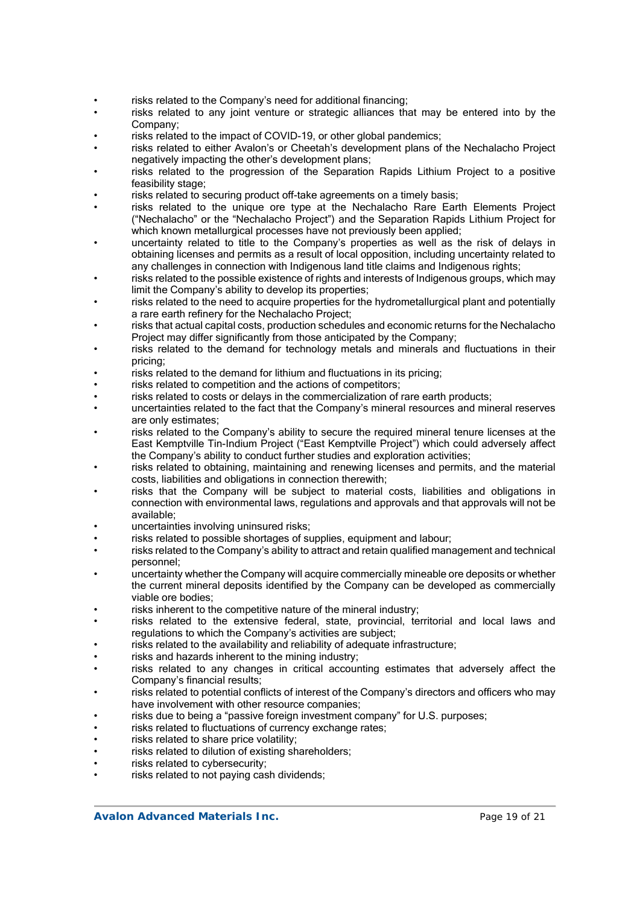- risks related to the Company's need for additional financing;
- risks related to any joint venture or strategic alliances that may be entered into by the Company;
- risks related to the impact of COVID-19, or other global pandemics;
- risks related to either Avalon's or Cheetah's development plans of the Nechalacho Project negatively impacting the other's development plans;
- risks related to the progression of the Separation Rapids Lithium Project to a positive feasibility stage:
- risks related to securing product off-take agreements on a timely basis;
- risks related to the unique ore type at the Nechalacho Rare Earth Elements Project ("Nechalacho" or the "Nechalacho Project") and the Separation Rapids Lithium Project for which known metallurgical processes have not previously been applied;
- uncertainty related to title to the Company's properties as well as the risk of delays in obtaining licenses and permits as a result of local opposition, including uncertainty related to any challenges in connection with Indigenous land title claims and Indigenous rights;
- risks related to the possible existence of rights and interests of Indigenous groups, which may limit the Company's ability to develop its properties;
- risks related to the need to acquire properties for the hydrometallurgical plant and potentially a rare earth refinery for the Nechalacho Project;
- risks that actual capital costs, production schedules and economic returns for the Nechalacho Project may differ significantly from those anticipated by the Company;
- risks related to the demand for technology metals and minerals and fluctuations in their pricing;
- risks related to the demand for lithium and fluctuations in its pricing;
- risks related to competition and the actions of competitors;
- risks related to costs or delays in the commercialization of rare earth products;
- uncertainties related to the fact that the Company's mineral resources and mineral reserves are only estimates;
- risks related to the Company's ability to secure the required mineral tenure licenses at the East Kemptville Tin-Indium Project ("East Kemptville Project") which could adversely affect the Company's ability to conduct further studies and exploration activities;
- risks related to obtaining, maintaining and renewing licenses and permits, and the material costs, liabilities and obligations in connection therewith;
- risks that the Company will be subject to material costs, liabilities and obligations in connection with environmental laws, regulations and approvals and that approvals will not be available;
- uncertainties involving uninsured risks;
- risks related to possible shortages of supplies, equipment and labour;
- risks related to the Company's ability to attract and retain qualified management and technical personnel;
- uncertainty whether the Company will acquire commercially mineable ore deposits or whether the current mineral deposits identified by the Company can be developed as commercially viable ore bodies;
- risks inherent to the competitive nature of the mineral industry:
- risks related to the extensive federal, state, provincial, territorial and local laws and regulations to which the Company's activities are subject;
- risks related to the availability and reliability of adequate infrastructure;
- risks and hazards inherent to the mining industry;
- risks related to any changes in critical accounting estimates that adversely affect the Company's financial results;
- risks related to potential conflicts of interest of the Company's directors and officers who may have involvement with other resource companies;
- risks due to being a "passive foreign investment company" for U.S. purposes;
- risks related to fluctuations of currency exchange rates;
- risks related to share price volatility;
- risks related to dilution of existing shareholders;
- risks related to cybersecurity:
- risks related to not paying cash dividends: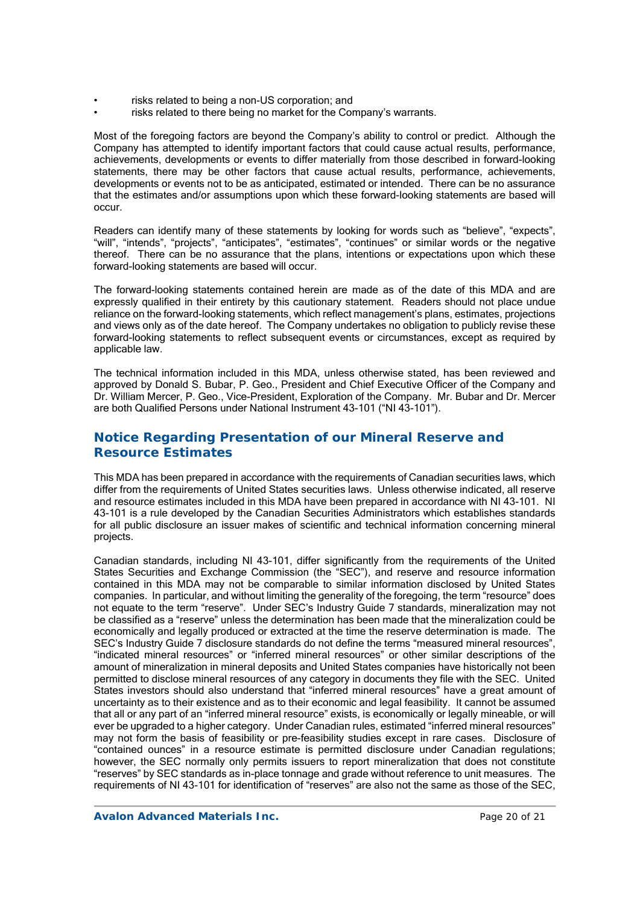- risks related to being a non-US corporation; and
- risks related to there being no market for the Company's warrants.

Most of the foregoing factors are beyond the Company's ability to control or predict. Although the Company has attempted to identify important factors that could cause actual results, performance, achievements, developments or events to differ materially from those described in forward-looking statements, there may be other factors that cause actual results, performance, achievements, developments or events not to be as anticipated, estimated or intended. There can be no assurance that the estimates and/or assumptions upon which these forward-looking statements are based will occur.

Readers can identify many of these statements by looking for words such as "believe", "expects", "will", "intends", "projects", "anticipates", "estimates", "continues" or similar words or the negative thereof. There can be no assurance that the plans, intentions or expectations upon which these forward-looking statements are based will occur.

The forward-looking statements contained herein are made as of the date of this MDA and are expressly qualified in their entirety by this cautionary statement. Readers should not place undue reliance on the forward-looking statements, which reflect management's plans, estimates, projections and views only as of the date hereof. The Company undertakes no obligation to publicly revise these forward-looking statements to reflect subsequent events or circumstances, except as required by applicable law.

The technical information included in this MDA, unless otherwise stated, has been reviewed and approved by Donald S. Bubar, P. Geo., President and Chief Executive Officer of the Company and Dr. William Mercer, P. Geo., Vice-President, Exploration of the Company. Mr. Bubar and Dr. Mercer are both Qualified Persons under National Instrument 43-101 ("NI 43-101").

# **Notice Regarding Presentation of our Mineral Reserve and Resource Estimates**

This MDA has been prepared in accordance with the requirements of Canadian securities laws, which differ from the requirements of United States securities laws. Unless otherwise indicated, all reserve and resource estimates included in this MDA have been prepared in accordance with NI 43-101. NI 43-101 is a rule developed by the Canadian Securities Administrators which establishes standards for all public disclosure an issuer makes of scientific and technical information concerning mineral projects.

Canadian standards, including NI 43-101, differ significantly from the requirements of the United States Securities and Exchange Commission (the "SEC"), and reserve and resource information contained in this MDA may not be comparable to similar information disclosed by United States companies. In particular, and without limiting the generality of the foregoing, the term "resource" does not equate to the term "reserve". Under SEC's Industry Guide 7 standards, mineralization may not be classified as a "reserve" unless the determination has been made that the mineralization could be economically and legally produced or extracted at the time the reserve determination is made. The SEC's Industry Guide 7 disclosure standards do not define the terms "measured mineral resources", "indicated mineral resources" or "inferred mineral resources" or other similar descriptions of the amount of mineralization in mineral deposits and United States companies have historically not been permitted to disclose mineral resources of any category in documents they file with the SEC. United States investors should also understand that "inferred mineral resources" have a great amount of uncertainty as to their existence and as to their economic and legal feasibility. It cannot be assumed that all or any part of an "inferred mineral resource" exists, is economically or legally mineable, or will ever be upgraded to a higher category. Under Canadian rules, estimated "inferred mineral resources" may not form the basis of feasibility or pre-feasibility studies except in rare cases. Disclosure of "contained ounces" in a resource estimate is permitted disclosure under Canadian regulations; however, the SEC normally only permits issuers to report mineralization that does not constitute "reserves" by SEC standards as in-place tonnage and grade without reference to unit measures. The requirements of NI 43-101 for identification of "reserves" are also not the same as those of the SEC,